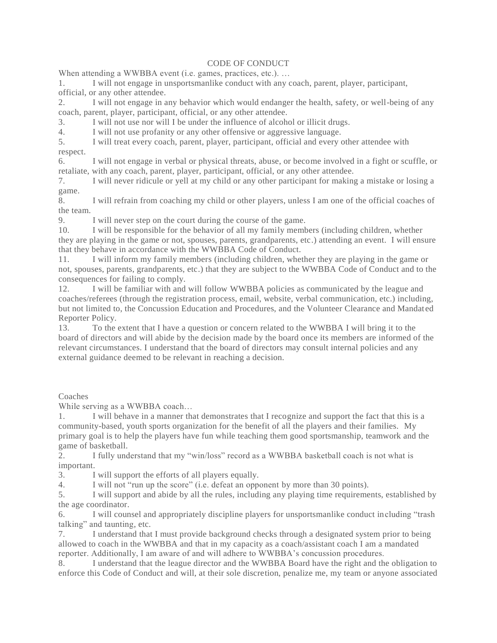## CODE OF CONDUCT

When attending a WWBBA event (i.e. games, practices, etc.). ...

1. I will not engage in unsportsmanlike conduct with any coach, parent, player, participant, official, or any other attendee.

2. I will not engage in any behavior which would endanger the health, safety, or well-being of any coach, parent, player, participant, official, or any other attendee.

3. I will not use nor will I be under the influence of alcohol or illicit drugs.

4. I will not use profanity or any other offensive or aggressive language.

5. I will treat every coach, parent, player, participant, official and every other attendee with respect.

6. I will not engage in verbal or physical threats, abuse, or become involved in a fight or scuffle, or retaliate, with any coach, parent, player, participant, official, or any other attendee.

7. I will never ridicule or yell at my child or any other participant for making a mistake or losing a game.

8. I will refrain from coaching my child or other players, unless I am one of the official coaches of the team.

9. I will never step on the court during the course of the game.

10. I will be responsible for the behavior of all my family members (including children, whether they are playing in the game or not, spouses, parents, grandparents, etc.) attending an event. I will ensure that they behave in accordance with the WWBBA Code of Conduct.

11. I will inform my family members (including children, whether they are playing in the game or not, spouses, parents, grandparents, etc.) that they are subject to the WWBBA Code of Conduct and to the consequences for failing to comply.

12. I will be familiar with and will follow WWBBA policies as communicated by the league and coaches/referees (through the registration process, email, website, verbal communication, etc.) including, but not limited to, the Concussion Education and Procedures, and the Volunteer Clearance and Mandat ed Reporter Policy.

13. To the extent that I have a question or concern related to the WWBBA I will bring it to the board of directors and will abide by the decision made by the board once its members are informed of the relevant circumstances. I understand that the board of directors may consult internal policies and any external guidance deemed to be relevant in reaching a decision.

Coaches

While serving as a WWBBA coach…

1. I will behave in a manner that demonstrates that I recognize and support the fact that this is a community-based, youth sports organization for the benefit of all the players and their families. My primary goal is to help the players have fun while teaching them good sportsmanship, teamwork and the game of basketball.

2. I fully understand that my "win/loss" record as a WWBBA basketball coach is not what is important.

3. I will support the efforts of all players equally.

4. I will not "run up the score" (i.e. defeat an opponent by more than 30 points).

5. I will support and abide by all the rules, including any playing time requirements, established by the age coordinator.

6. I will counsel and appropriately discipline players for unsportsmanlike conduct including "trash talking" and taunting, etc.

7. I understand that I must provide background checks through a designated system prior to being allowed to coach in the WWBBA and that in my capacity as a coach/assistant coach I am a mandated reporter. Additionally, I am aware of and will adhere to WWBBA's concussion procedures.

8. I understand that the league director and the WWBBA Board have the right and the obligation to enforce this Code of Conduct and will, at their sole discretion, penalize me, my team or anyone associated